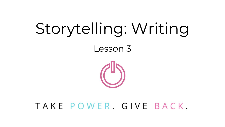# Storytelling: Writing

Lesson 3



#### TAKE POWER, GIVE BACK,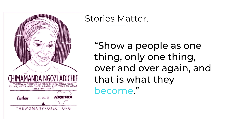

#### Stories Matter.

"Show a people as one thing, only one thing, over and over again, and that is what they become."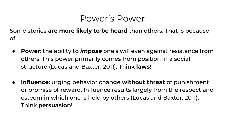#### Power's Power

Some stories **are more likely to be heard** than others. That is because  $of \ldots$ 

- **Power**: the ability to *impose* one's will even against resistance from others. This power primarily comes from position in a social structure (Lucas and Baxter, 2011). Think **laws**!
- **Influence**: urging behavior change **without threat** of punishment or promise of reward. Influence results largely from the respect and esteem in which one is held by others (Lucas and Baxter, 2011). Think **persuasion**!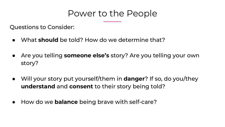#### Power to the People

Questions to Consider:

- What **should** be told? How do we determine that?
- Are you telling **someone else's** story? Are you telling your own story?
- Will your story put yourself/them in **danger**? If so, do you/they **understand** and **consent** to their story being told?
- How do we **balance** being brave with self-care?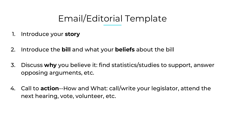### Email/Editorial Template

- 1. Introduce your **story**
- 2. Introduce the **bill** and what your **beliefs** about the bill
- 3. Discuss **why** you believe it: find statistics/studies to support, answer opposing arguments, etc.
- 4. Call to **action**--How and What: call/write your legislator, attend the next hearing, vote, volunteer, etc.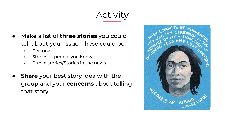### Activity

- Make a list of **three stories** you could tell about your issue. These could be:
	- Personal
	- Stories of people you know
	- Public stories/Stories in the news
- **Share** your best story idea with the group and your **concerns** about telling that story

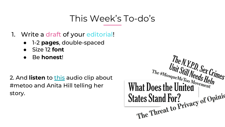#### This Week's To-do's

- 1. Write a draft of your editorial!
	- 1-2 **pages**, double-spaced
	- Size 12 **font**
	- Be **honest**!

2. And **listen** to [this](https://www.npr.org/2017/10/27/560231232/women-are-speaking-up-about-harassment-and-abuse-but-why-now) audio clip about #metoo and Anita Hill telling her story.